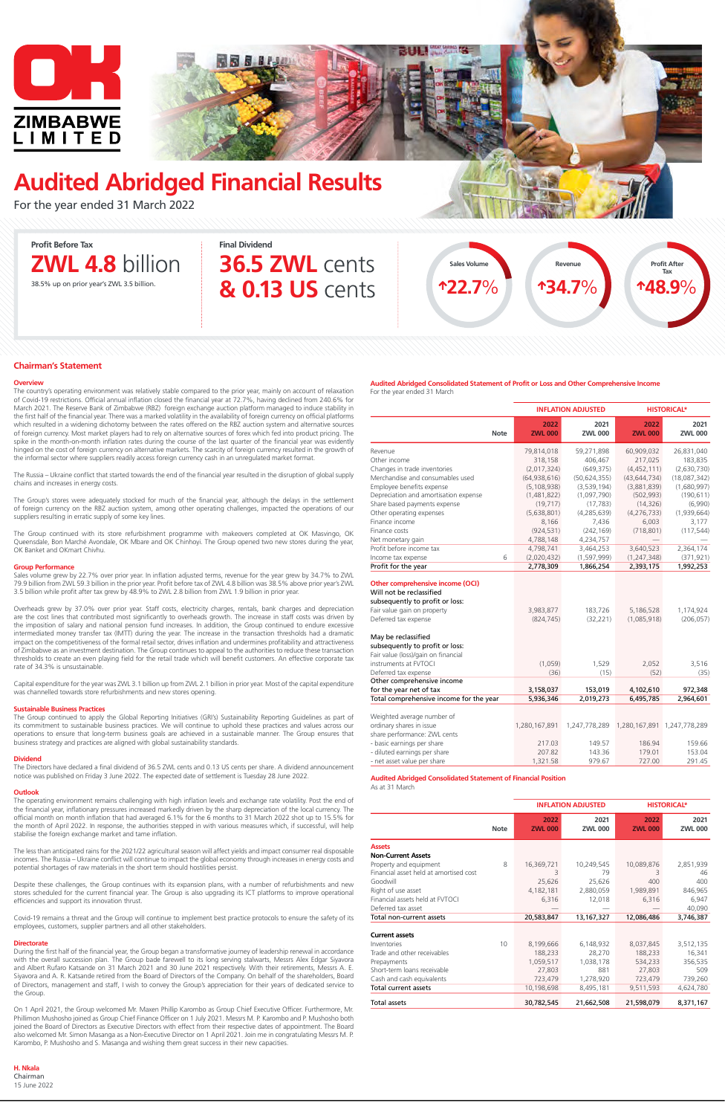# **Chairman's Statement**

### **Overview**

The country's operating environment was relatively stable compared to the prior year, mainly on account of relaxation of Covid-19 restrictions. Official annual inflation closed the financial year at 72.7%, having declined from 240.6% for March 2021. The Reserve Bank of Zimbabwe (RBZ) foreign exchange auction platform managed to induce stability in the first half of the financial year. There was a marked volatility in the availability of foreign currency on official platforms which resulted in a widening dichotomy between the rates offered on the RBZ auction system and alternative sources of foreign currency. Most market players had to rely on alternative sources of forex which fed into product pricing. The spike in the month-on-month inflation rates during the course of the last quarter of the financial year was evidently hinged on the cost of foreign currency on alternative markets. The scarcity of foreign currency resulted in the growth of the informal sector where suppliers readily access foreign currency cash in an unregulated market format.

The Russia – Ukraine conflict that started towards the end of the financial year resulted in the disruption of global supply chains and increases in energy costs.

The Group's stores were adequately stocked for much of the financial year, although the delays in the settlement of foreign currency on the RBZ auction system, among other operating challenges, impacted the operations of our suppliers resulting in erratic supply of some key lines.

The Group continued with its store refurbishment programme with makeovers completed at OK Masvingo, OK Queensdale, Bon Marché Avondale, OK Mbare and OK Chinhoyi. The Group opened two new stores during the year, OK Banket and OKmart Chivhu.

### **Group Performance**

Sales volume grew by 22.7% over prior year. In inflation adjusted terms, revenue for the year grew by 34.7% to ZWL 79.9 billion from ZWL 59.3 billion in the prior year. Profit before tax of ZWL 4.8 billion was 38.5% above prior year's ZWL 3.5 billion while profit after tax grew by 48.9% to ZWL 2.8 billion from ZWL 1.9 billion in prior year.

The Group continued to apply the Global Reporting Initiatives (GRI's) Sustainability Reporting Guidelines as part of its commitment to sustainable business practices. We will continue to uphold these practices and values across our operations to ensure that long-term business goals are achieved in a sustainable manner. The Group ensures that business strategy and practices are aligned with global sustainability standards.

The Directors have declared a final dividend of 36.5 ZWL cents and 0.13 US cents per share. A dividend announcement notice was published on Friday 3 June 2022. The expected date of settlement is Tuesday 28 June 2022.

Despite these challenges, the Group continues with its expansion plans, with a number of refurbishments and new stores scheduled for the current financial year. The Group is also upgrading its ICT platforms to improve operational efficiencies and support its innovation thrust.

Overheads grew by 37.0% over prior year. Staff costs, electricity charges, rentals, bank charges and depreciation are the cost lines that contributed most significantly to overheads growth. The increase in staff costs was driven by the imposition of salary and national pension fund increases. In addition, the Group continued to endure excessive intermediated money transfer tax (IMTT) during the year. The increase in the transaction thresholds had a dramatic impact on the competitiveness of the formal retail sector, drives inflation and undermines profitability and attractiveness of Zimbabwe as an investment destination. The Group continues to appeal to the authorities to reduce these transaction thresholds to create an even playing field for the retail trade which will benefit customers. An effective corporate tax rate of 34.3% is unsustainable.

During the first half of the financial year, the Group began a transformative journey of leadership renewal in accordance with the overall succession plan. The Group bade farewell to its long serving stalwarts, Messrs Alex Edgar Siyavora and Albert Rufaro Katsande on 31 March 2021 and 30 June 2021 respectively. With their retirements, Messrs A. E. Siyavora and A. R. Katsande retired from the Board of Directors of the Company. On behalf of the shareholders, Board of Directors, management and staff, I wish to convey the Group's appreciation for their years of dedicated service to the Group.

Capital expenditure for the year was ZWL 3.1 billion up from ZWL 2.1 billion in prior year. Most of the capital expenditure was channelled towards store refurbishments and new stores opening.

On 1 April 2021, the Group welcomed Mr. Maxen Phillip Karombo as Group Chief Executive Officer. Furthermore, Mr. Phillimon Mushosho joined as Group Chief Finance Officer on 1 July 2021. Messrs M. P. Karombo and P. Mushosho both joined the Board of Directors as Executive Directors with effect from their respective dates of appointment. The Board also welcomed Mr. Simon Masanga as a Non-Executive Director on 1 April 2021. Join me in congratulating Messrs M. P. Karombo, P. Mushosho and S. Masanga and wishing them great success in their new capacities.

### **Sustainable Business Practices**

#### **Audited Abridged Consolidated Statement of Profit or Loss and Other Comprehensive Income**  $F_{\text{back}}$   $\rightarrow$  31 March

|  |  | TOT LITE YEAR CHUEU JI IVIAILIT |  |
|--|--|---------------------------------|--|
|  |  |                                 |  |

### **Dividend**

### **Outlook**

The operating environment remains challenging with high inflation levels and exchange rate volatility. Post the end of the financial year, inflationary pressures increased markedly driven by the sharp depreciation of the local currency. The official month on month inflation that had averaged 6.1% for the 6 months to 31 March 2022 shot up to 15.5% for the month of April 2022. In response, the authorities stepped in with various measures which, if successful, will help stabilise the foreign exchange market and tame inflation.

The less than anticipated rains for the 2021/22 agricultural season will affect yields and impact consumer real disposable incomes. The Russia – Ukraine conflict will continue to impact the global economy through increases in energy costs and potential shortages of raw materials in the short term should hostilities persist.

Covid-19 remains a threat and the Group will continue to implement best practice protocols to ensure the safety of its employees, customers, supplier partners and all other stakeholders.

### **Directorate**

### **H. Nkala** Chairman 15 June 2022



# **Audited Abridged Financial Results**

For the year ended 31 March 2022

|                                                                                                                                                        |                         | <b>INFLATION ADJUSTED</b> |                          | <b>HISTORICAL*</b>                    |
|--------------------------------------------------------------------------------------------------------------------------------------------------------|-------------------------|---------------------------|--------------------------|---------------------------------------|
| <b>Note</b>                                                                                                                                            | 2022<br><b>ZWL 000</b>  | 2021<br><b>ZWL 000</b>    | 2022<br><b>ZWL 000</b>   | 2021<br><b>ZWL 000</b>                |
| Revenue                                                                                                                                                | 79,814,018              | 59,271,898                | 60,909,032               | 26,831,040                            |
| Other income                                                                                                                                           | 318,158                 | 406,467                   | 217,025                  | 183,835                               |
| Changes in trade inventories                                                                                                                           | (2,017,324)             | (649, 375)                | (4,452,111)              | (2,630,730)                           |
| Merchandise and consumables used                                                                                                                       | (64,938,616)            | (50, 624, 355)            | (43, 644, 734)           | (18,087,342)                          |
| Employee benefits expense                                                                                                                              | (5, 108, 938)           | (3,539,194)               | (3,881,839)              | (1,680,997)                           |
| Depreciation and amortisation expense                                                                                                                  | (1,481,822)             | (1,097,790)               | (502, 993)               | (190, 611)                            |
| Share based payments expense                                                                                                                           | (19, 717)               | (17, 783)                 | (14, 326)                | (6,990)                               |
| Other operating expenses                                                                                                                               | (5,638,801)             | (4,285,639)               | (4, 276, 733)            | (1,939,664)                           |
| Finance income                                                                                                                                         | 8,166                   | 7,436                     | 6,003                    | 3,177                                 |
| Finance costs                                                                                                                                          | (924, 531)              | (242, 169)                | (718, 801)               | (117, 544)                            |
| Net monetary gain                                                                                                                                      | 4,788,148               | 4,234,757                 |                          |                                       |
| Profit before income tax                                                                                                                               | 4,798,741               | 3,464,253                 | 3,640,523                | 2,364,174                             |
| 6<br>Income tax expense                                                                                                                                | (2,020,432)             | (1, 597, 999)             | (1, 247, 348)            | (371, 921)                            |
| Profit for the year                                                                                                                                    | 2,778,309               | 1,866,254                 | 2,393,175                | 1,992,253                             |
| Other comprehensive income (OCI)<br>Will not be reclassified<br>subsequently to profit or loss:<br>Fair value gain on property<br>Deferred tax expense | 3,983,877<br>(824, 745) | 183,726<br>(32, 221)      | 5,186,528<br>(1,085,918) | 1,174,924<br>(206, 057)               |
| May be reclassified<br>subsequently to profit or loss:<br>Fair value (loss)/gain on financial<br>instruments at FVTOCI                                 | (1,059)                 | 1,529                     | 2,052                    | 3,516                                 |
| Deferred tax expense                                                                                                                                   | (36)                    | (15)                      | (52)                     | (35)                                  |
| Other comprehensive income                                                                                                                             |                         |                           |                          |                                       |
| for the year net of tax                                                                                                                                | 3,158,037               | 153,019                   | 4,102,610                | 972,348                               |
| Total comprehensive income for the year                                                                                                                | 5,936,346               | 2,019,273                 | 6,495,785                | 2,964,601                             |
| Weighted average number of<br>ordinary shares in issue<br>share performance: ZWL cents<br>- basic earnings per share                                   | 1,280,167,891<br>217.03 | 1,247,778,289<br>149.57   | 186.94                   | 1,280,167,891 1,247,778,289<br>159.66 |
| - diluted earnings per share                                                                                                                           | 207.82                  | 143.36                    | 179.01                   | 153.04                                |
| - net asset value per share                                                                                                                            | 1,321.58                | 979.67                    | 727.00                   | 291.45                                |

# **Audited Abridged Consolidated Statement of Financial Position**

As at 31 March

|                                        |                 |                        | <b>INFLATION ADJUSTED</b> |                        | <b>HISTORICAL*</b>     |
|----------------------------------------|-----------------|------------------------|---------------------------|------------------------|------------------------|
|                                        | <b>Note</b>     | 2022<br><b>ZWL 000</b> | 2021<br><b>ZWL 000</b>    | 2022<br><b>ZWL 000</b> | 2021<br><b>ZWL 000</b> |
| <b>Assets</b>                          |                 |                        |                           |                        |                        |
| <b>Non-Current Assets</b>              |                 |                        |                           |                        |                        |
| Property and equipment                 | 8               | 16,369,721             | 10,249,545                | 10,089,876             | 2,851,939              |
| Financial asset held at amortised cost |                 | 3                      | 79                        | 3                      | 46                     |
| Goodwill                               |                 | 25,626                 | 25,626                    | 400                    | 400                    |
| Right of use asset                     |                 | 4,182,181              | 2,880,059                 | 1,989,891              | 846,965                |
| Financial assets held at FVTOCI        |                 | 6,316                  | 12,018                    | 6,316                  | 6,947                  |
| Deferred tax asset                     |                 |                        |                           |                        | 40,090                 |
| Total non-current assets               |                 | 20,583,847             | 13, 167, 327              | 12,086,486             | 3,746,387              |
| <b>Current assets</b>                  |                 |                        |                           |                        |                        |
| Inventories                            | 10 <sup>°</sup> | 8,199,666              | 6,148,932                 | 8,037,845              | 3,512,135              |
| Trade and other receivables            |                 | 188,233                | 28,270                    | 188,233                | 16,341                 |
| Prepayments                            |                 | 1,059,517              | 1,038,178                 | 534,233                | 356,535                |
| Short-term loans receivable            |                 | 27,803                 | 881                       | 27,803                 | 509                    |
| Cash and cash equivalents              |                 | 723,479                | 1,278,920                 | 723,479                | 739,260                |
| <b>Total current assets</b>            |                 | 10,198,698             | 8,495,181                 | 9,511,593              | 4,624,780              |
| <b>Total assets</b>                    |                 | 30,782,545             | 21,662,508                | 21,598,079             | 8,371,167              |

**Profit Before Tax ZWL 4.8** billion 38.5% up on prior year's ZWL 3.5 billion.

**Sales Volume 22.7**% **34.7**% **Revenue 48.9**% **Profit After Tax**

**Final Dividend 36.5 ZWL** cents **& 0.13 US** cents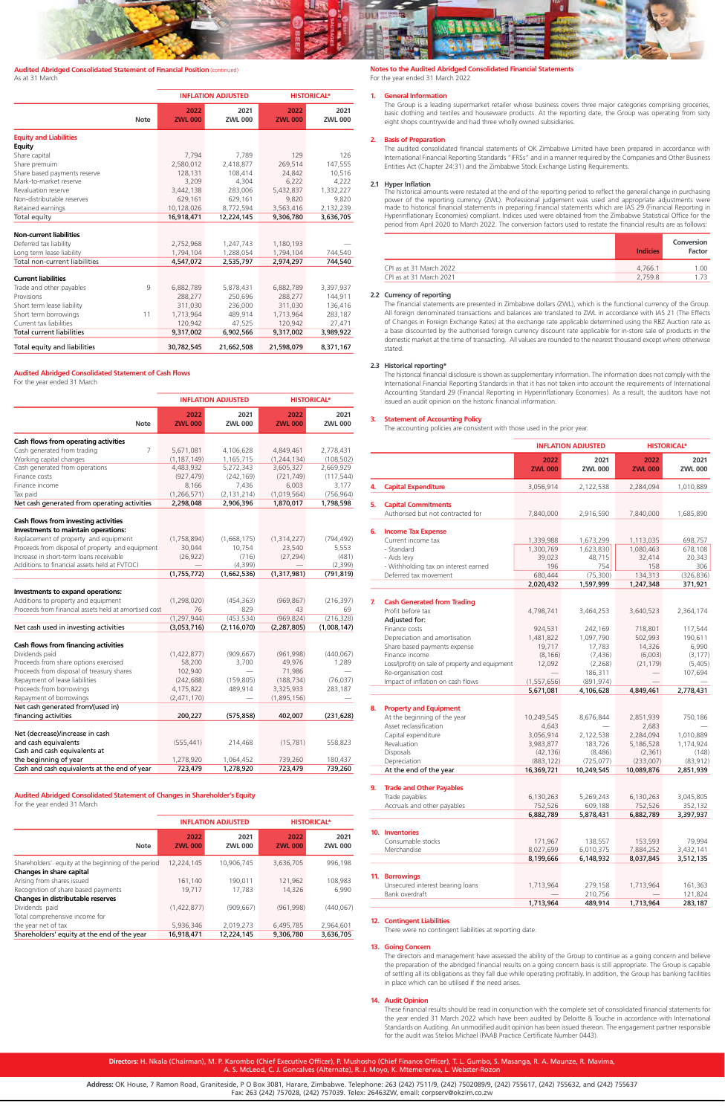**Notes to the Audited Abridged Consolidated Financial Statements** For the year ended 31 March 2022

### **1. General Information**

The Group is a leading supermarket retailer whose business covers three major categories comprising groceries, basic clothing and textiles and houseware products. At the reporting date, the Group was operating from sixty eight shops countrywide and had three wholly owned subsidiaries.

The audited consolidated financial statements of OK Zimbabwe Limited have been prepared in accordance with International Financial Reporting Standards "IFRSs" and in a manner required by the Companies and Other Business Entities Act (Chapter 24:31) and the Zimbabwe Stock Exchange Listing Requirements.

### **2. Basis of Preparation**

## **2.1 Hyper Inflation**

The historical amounts were restated at the end of the reporting period to reflect the general change in purchasing power of the reporting currency (ZWL). Professional judgement was used and appropriate adjustments were made to historical financial statements in preparing financial statements which are IAS 29 (Financial Reporting in Hyperinflationary Economies) compliant. Indices used were obtained from the Zimbabwe Statistical Office for the period from April 2020 to March 2022. The conversion factors used to restate the financial results are as follows:

The financial statements are presented in Zimbabwe dollars (ZWL), which is the functional currency of the Group. All foreign denominated transactions and balances are translated to ZWL in accordance with IAS 21 (The Effects of Changes in Foreign Exchange Rates) at the exchange rate applicable determined using the RBZ Auction rate as a base discounted by the authorised foreign currency discount rate applicable for in-store sale of products in the domestic market at the time of transacting. All values are rounded to the nearest thousand except where otherwise stated.

|                         | Indicies | Conversion<br>Factor |
|-------------------------|----------|----------------------|
| CPI as at 31 March 2022 | 4.766.1  | 1.00                 |
| CPI as at 31 March 2021 | 2.759.8  |                      |

### **2.2 Currency of reporting**

### **2.3 Historical reporting\***

The historical financial disclosure is shown as supplementary information. The information does not comply with the International Financial Reporting Standards in that it has not taken into account the requirements of International Accounting Standard 29 (Financial Reporting in Hyperinflationary Economies). As a result, the auditors have not issued an audit opinion on the historic financial information.

### **3. Statement of Accounting Policy**

The accounting policies are consistent with those used in the prior year.

|    |                                                                                                                                                                                      | <b>INFLATION ADJUSTED</b>                                                              |                                                                          | <b>HISTORICAL*</b>                                                                 |                                                                     |
|----|--------------------------------------------------------------------------------------------------------------------------------------------------------------------------------------|----------------------------------------------------------------------------------------|--------------------------------------------------------------------------|------------------------------------------------------------------------------------|---------------------------------------------------------------------|
|    |                                                                                                                                                                                      | 2022<br><b>ZWL 000</b>                                                                 | 2021<br><b>ZWL 000</b>                                                   | 2022<br><b>ZWL 000</b>                                                             | 2021<br><b>ZWL 000</b>                                              |
| 4. | <b>Capital Expenditure</b>                                                                                                                                                           | 3,056,914                                                                              | 2,122,538                                                                | 2,284,094                                                                          | 1,010,889                                                           |
| 5. | <b>Capital Commitments</b><br>Authorised but not contracted for                                                                                                                      | 7,840,000                                                                              | 2,916,590                                                                | 7,840,000                                                                          | 1,685,890                                                           |
| 6. | <b>Income Tax Expense</b><br>Current income tax<br>- Standard<br>- Aids levv<br>- Withholding tax on interest earned<br>Deferred tax movement                                        | 1,339,988<br>1,300,769<br>39,023<br>196<br>680,444                                     | 1,673,299<br>1,623,830<br>48,715<br>754<br>(75, 300)                     | 1,113,035<br>1,080,463<br>32,414<br>158<br>134,313                                 | 698,757<br>678,108<br>20,343<br>306<br>(326, 836)                   |
|    |                                                                                                                                                                                      | 2,020,432                                                                              | 1,597,999                                                                | 1,247,348                                                                          | 371,921                                                             |
| 7. | <b>Cash Generated from Trading</b><br>Profit before tax<br>Adjusted for:                                                                                                             | 4,798,741                                                                              | 3,464,253                                                                | 3,640,523                                                                          | 2,364,174                                                           |
|    | Finance costs<br>Depreciation and amortisation<br>Share based payments expense<br>Finance income                                                                                     | 924,531<br>1,481,822<br>19,717<br>(8, 166)                                             | 242,169<br>1,097,790<br>17,783<br>(7, 436)                               | 718,801<br>502,993<br>14,326<br>(6,003)                                            | 117,544<br>190,611<br>6,990<br>(3, 177)                             |
|    | Loss/(profit) on sale of property and equipment<br>Re-organisation cost<br>Impact of inflation on cash flows                                                                         | 12,092<br>(1, 557, 656)                                                                | (2, 268)<br>186,311<br>(891, 974)                                        | (21, 179)                                                                          | (5,405)<br>107,694                                                  |
|    |                                                                                                                                                                                      | 5,671,081                                                                              | 4,106,628                                                                | 4,849,461                                                                          | 2,778,431                                                           |
| 8. | <b>Property and Equipment</b><br>At the beginning of the year<br>Asset reclassification<br>Capital expenditure<br>Revaluation<br>Disposals<br>Depreciation<br>At the end of the year | 10,249,545<br>4,643<br>3,056,914<br>3,983,877<br>(42, 136)<br>(883, 122)<br>16,369,721 | 8,676,844<br>2,122,538<br>183,726<br>(8,486)<br>(725, 077)<br>10,249,545 | 2,851,939<br>2,683<br>2,284,094<br>5,186,528<br>(2,361)<br>(233,007)<br>10,089,876 | 750,186<br>1,010,889<br>1,174,924<br>(148)<br>(83,912)<br>2,851,939 |
|    |                                                                                                                                                                                      |                                                                                        |                                                                          |                                                                                    |                                                                     |
| 9. | <b>Trade and Other Payables</b><br>Trade payables<br>Accruals and other payables                                                                                                     | 6,130,263<br>752,526<br>6,882,789                                                      | 5,269,243<br>609,188<br>5,878,431                                        | 6,130,263<br>752,526<br>6,882,789                                                  | 3,045,805<br>352,132<br>3,397,937                                   |
|    | 10. Inventories<br>Consumable stocks<br>Merchandise                                                                                                                                  | 171,967<br>8,027,699<br>8,199,666                                                      | 138,557<br>6,010,375<br>6,148,932                                        | 153,593<br>7,884,252<br>8,037,845                                                  | 79,994<br>3,432,141<br>3,512,135                                    |
|    | 11. Borrowings<br>Unsecured interest bearing loans<br>Bank overdraft                                                                                                                 | 1,713,964<br>1,713,964                                                                 | 279,158<br>210,756<br>489,914                                            | 1,713,964<br>1,713,964                                                             | 161,363<br>121,824<br>283,187                                       |

# **12. Contingent Liabilities**

There were no contingent liabilities at reporting date.

### **13. Going Concern**

The directors and management have assessed the ability of the Group to continue as a going concern and believe the preparation of the abridged financial results on a going concern basis is still appropriate. The Group is capable of settling all its obligations as they fall due while operating profitably. In addition, the Group has banking facilities in place which can be utilised if the need arises.

Directors: H. Nkala (Chairman), M. P. Karombo (Chief Executive Officer), P. Mushosho (Chief Finance Officer), T. L. Gumbo, S. Masanga, R. A. Maunze, R. Mavima, A. S. McLeod, C. J. Goncalves (Alternate), R. J. Moyo, K. Mtemererwa, L. Webster-Rozon

### **14. Audit Opinion**

These financial results should be read in conjunction with the complete set of consolidated financial statements for the year ended 31 March 2022 which have been audited by Deloitte & Touche in accordance with International Standards on Auditing. An unmodified audit opinion has been issued thereon. The engagement partner responsible for the audit was Stelios Michael (PAAB Practice Certificate Number 0443).



### **Audited Abridged Consolidated Statement of Financial Position** (continued) As at 31 March

|                                  |                        | <b>INFLATION ADJUSTED</b> |                        | <b>HISTORICAL*</b>     |
|----------------------------------|------------------------|---------------------------|------------------------|------------------------|
| <b>Note</b>                      | 2022<br><b>ZWL 000</b> | 2021<br><b>ZWL 000</b>    | 2022<br><b>ZWL 000</b> | 2021<br><b>ZWL 000</b> |
| <b>Equity and Liabilities</b>    |                        |                           |                        |                        |
| Equity                           |                        |                           |                        |                        |
| Share capital                    | 7,794                  | 7,789                     | 129                    | 126                    |
| Share premuim                    | 2,580,012              | 2,418,877                 | 269,514                | 147,555                |
| Share based payments reserve     | 128,131                | 108,414                   | 24,842                 | 10,516                 |
| Mark-to-market reserve           | 3,209                  | 4,304                     | 6,222                  | 4,222                  |
| Revaluation reserve              | 3,442,138              | 283,006                   | 5,432,837              | 1,332,227              |
| Non-distributable reserves       | 629,161                | 629,161                   | 9,820                  | 9,820                  |
| Retained earnings                | 10,128,026             | 8,772,594                 | 3,563,416              | 2,132,239              |
| Total equity                     | 16,918,471             | 12,224,145                | 9,306,780              | 3,636,705              |
|                                  |                        |                           |                        |                        |
| <b>Non-current liabilities</b>   |                        |                           |                        |                        |
| Deferred tax liability           | 2,752,968              | 1,247,743                 | 1,180,193              |                        |
| Long term lease liability        | 1,794,104              | 1,288,054                 | 1,794,104              | 744,540                |
| Total non-current liabilities    | 4,547,072              | 2,535,797                 | 2,974,297              | 744,540                |
| <b>Current liabilities</b>       |                        |                           |                        |                        |
| 9<br>Trade and other payables    | 6,882,789              | 5,878,431                 | 6,882,789              | 3,397,937              |
| Provisions                       | 288,277                | 250,696                   | 288,277                | 144,911                |
| Short term lease liability       | 311.030                | 236,000                   | 311,030                | 136,416                |
| Short term borrowings<br>11      | 1.713.964              | 489.914                   | 1,713,964              | 283,187                |
| Current tax liabilities          | 120.942                | 47,525                    | 120.942                | 27,471                 |
| <b>Total current liabilities</b> | 9,317,002              | 6,902,566                 | 9,317,002              | 3,989,922              |
| Total equity and liabilities     | 30,782,545             | 21,662,508                | 21,598,079             | 8,371,167              |

### **Audited Abridged Consolidated Statement of Cash Flows**

For the year ended 31 March

|                                                       |                        | <b>INFLATION ADJUSTED</b> | <b>HISTORICAL*</b>     |                        |
|-------------------------------------------------------|------------------------|---------------------------|------------------------|------------------------|
| <b>Note</b>                                           | 2022<br><b>ZWL 000</b> | 2021<br><b>ZWL 000</b>    | 2022<br><b>ZWL 000</b> | 2021<br><b>ZWL 000</b> |
| Cash flows from operating activities                  |                        |                           |                        |                        |
| Cash generated from trading<br>7                      | 5,671,081              | 4,106,628                 | 4,849,461              | 2,778,431              |
| Working capital changes                               | (1, 187, 149)          | 1,165,715                 | (1, 244, 134)          | (108, 502)             |
| Cash generated from operations                        | 4,483,932              | 5,272,343                 | 3,605,327              | 2,669,929              |
| Finance costs                                         | (927, 479)             | (242, 169)                | (721, 749)             | (117, 544)             |
| Finance income                                        | 8,166                  | 7,436                     | 6,003                  | 3,177                  |
| Tax paid                                              | (1, 266, 571)          | (2, 131, 214)             | (1,019,564)            | (756, 964)             |
| Net cash generated from operating activities          | 2,298,048              | 2,906,396                 | 1,870,017              | 1,798,598              |
| Cash flows from investing activities                  |                        |                           |                        |                        |
| Investments to maintain operations:                   |                        |                           |                        |                        |
| Replacement of property and equipment                 | (1,758,894)            | (1,668,175)               | (1,314,227)            | (794, 492)             |
| Proceeds from disposal of property and equipment      | 30,044                 | 10,754                    | 23,540                 | 5,553                  |
| Increase in short-term loans receivable               | (26, 922)              | (716)                     | (27, 294)              | (481)                  |
| Additions to financial assets held at FVTOCI          |                        | (4,399)                   |                        | (2, 399)               |
|                                                       | (1,755,772)            | (1,662,536)               | (1,317,981)            | (791, 819)             |
| Investments to expand operations:                     |                        |                           |                        |                        |
| Additions to property and equipment                   | (1,298,020)            | (454, 363)                | (969, 867)             | (216, 397)             |
| Proceeds from financial assets held at amortised cost | 76                     | 829                       | 43                     | 69                     |
|                                                       | (1, 297, 944)          | (453, 534)                | (969, 824)             | (216, 328)             |
| Net cash used in investing activities                 | (3,053,716)            | (2, 116, 070)             | (2, 287, 805)          | (1,008,147)            |
|                                                       |                        |                           |                        |                        |
| Cash flows from financing activities                  |                        |                           |                        |                        |
| Dividends paid                                        | (1,422,877)            | (909, 667)                | (961, 998)             | (440, 067)             |
| Proceeds from share options exercised                 | 58,200                 | 3.700                     | 49.976                 | 1,289                  |
| Proceeds from disposal of treasury shares             | 102,940                |                           | 71,986                 |                        |
| Repayment of lease liabilities                        | (242, 688)             | (159, 805)                | (188, 734)             | (76, 037)              |
| Proceeds from borrowings                              | 4,175,822              | 489,914                   | 3,325,933              | 283,187                |
| Repayment of borrowings                               | (2,471,170)            |                           | (1,895,156)            |                        |
| Net cash generated from/(used in)                     |                        |                           |                        |                        |
| financing activities                                  | 200,227                | (575, 858)                | 402,007                | (231, 628)             |
| Net (decrease)/increase in cash                       |                        |                           |                        |                        |
| and cash equivalents                                  | (555, 441)             | 214,468                   | (15, 781)              | 558,823                |
| Cash and cash equivalents at                          |                        |                           |                        |                        |
| the beginning of year                                 | 1,278,920              | 1,064,452                 | 739,260                | 180,437                |
| Cash and cash equivalents at the end of year          | 723,479                | 1,278,920                 | 723,479                | 739,260                |

# **Audited Abridged Consolidated Statement of Changes in Shareholder's Equity**

For the year ended 31 March

|                                                                                 | <b>HISTORICAL*</b><br><b>INFLATION ADJUSTED</b> |                        |                        |                        |
|---------------------------------------------------------------------------------|-------------------------------------------------|------------------------|------------------------|------------------------|
| <b>Note</b>                                                                     | 2022<br><b>ZWL 000</b>                          | 2021<br><b>ZWL 000</b> | 2022<br><b>ZWL 000</b> | 2021<br><b>ZWL 000</b> |
| Shareholders' equity at the beginning of the period<br>Changes in share capital | 12.224.145                                      | 10,906,745             | 3.636.705              | 996.198                |
| Arising from shares issued                                                      | 161,140                                         | 190.011                | 121,962                | 108.983                |

| Recognition of share based payments         | 19,717      | 17.783     | 14,326    | 6.990     |
|---------------------------------------------|-------------|------------|-----------|-----------|
| Changes in distributable reserves           |             |            |           |           |
| Dividends paid                              | (1,422,877) | (909.667)  | (961.998) | (440.067) |
| Total comprehensive income for              |             |            |           |           |
| the year net of tax                         | 5.936.346   | 2.019.273  | 6,495,785 | 2.964.601 |
| Shareholders' equity at the end of the year | 16.918.471  | 12.224.145 | 9.306.780 | 3,636,705 |

**Address:** OK House, 7 Ramon Road, Graniteside, P O Box 3081, Harare, Zimbabwe. Telephone: 263 (242) 7511/9, (242) 7502089/9, (242) 755617, (242) 755632, and (242) 755637 Fax: 263 (242) 757028, (242) 757039. Telex: 26463ZW, email: corpserv@okzim.co.zw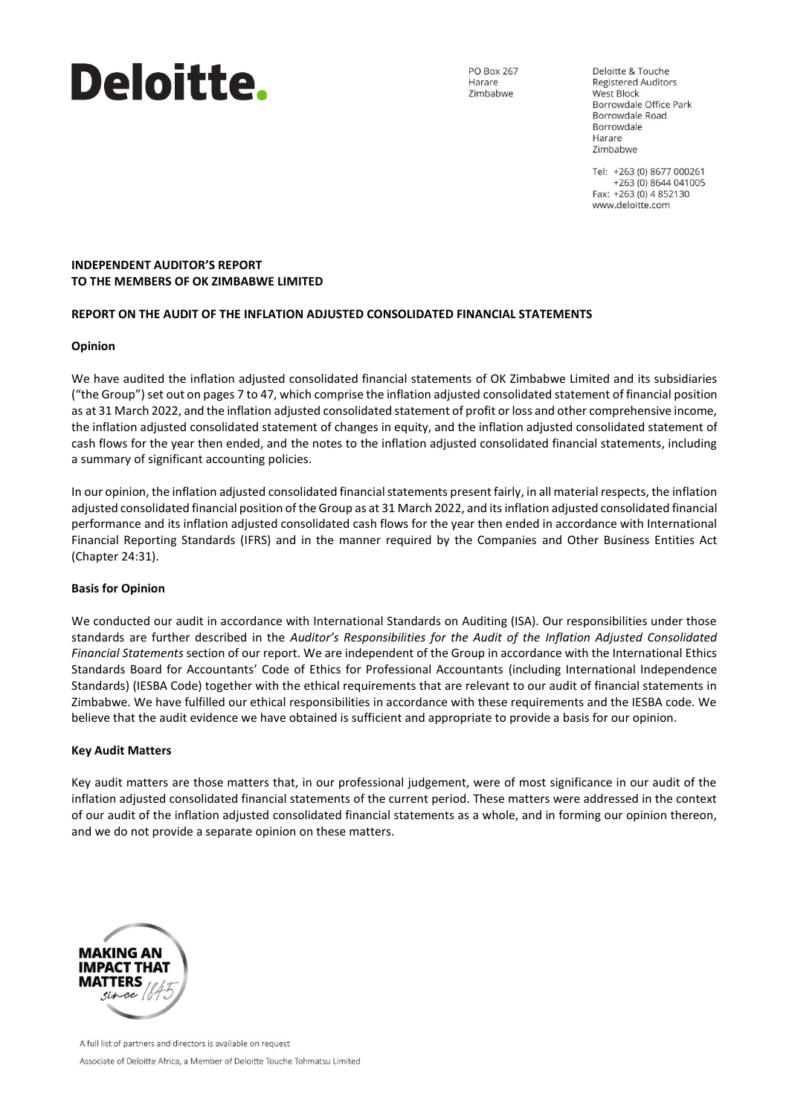# **Deloitte.**

PO Box 267 Harare Zimbabwe

Deloitte & Touche **Registered Auditors** West Block Borrowdale Office Park Borrowdale Road Borrowdale Harare Zimbabwe

Tel: +263 (0) 8677 000261 +263 (0) 8644 041005 Fax: +263 (0) 4 852130 www.deloitte.com

# **INDEPENDENT AUDITOR'S REPORT TO THE MEMBERS OF OK ZIMBABWE LIMITED**

# **REPORT ON THE AUDIT OF THE INFLATION ADJUSTED CONSOLIDATED FINANCIAL STATEMENTS**

# **Opinion**

We have audited the inflation adjusted consolidated financial statements of OK Zimbabwe Limited and its subsidiaries ("the Group") set out on pages 7 to 47, which comprise the inflation adjusted consolidated statement of financial position as at 31 March 2022, and the inflation adjusted consolidated statement of profit or loss and other comprehensive income, the inflation adjusted consolidated statement of changes in equity, and the inflation adjusted consolidated statement of cash flows for the year then ended, and the notes to the inflation adjusted consolidated financial statements, including a summary of significant accounting policies.

In our opinion, the inflation adjusted consolidated financial statements present fairly, in all material respects, the inflation adjusted consolidated financial position of the Group as at 31 March 2022, and its inflation adjusted consolidated financial performance and its inflation adjusted consolidated cash flows for the year then ended in accordance with International Financial Reporting Standards (IFRS) and in the manner required by the Companies and Other Business Entities Act (Chapter 24:31).

# **Basis for Opinion**

We conducted our audit in accordance with International Standards on Auditing (ISA). Our responsibilities under those standards are further described in the *Auditor's Responsibilities for the Audit of the Inflation Adjusted Consolidated Financial Statements* section of our report. We are independent of the Group in accordance with the International Ethics Standards Board for Accountants' Code of Ethics for Professional Accountants (including International Independence Standards) (IESBA Code) together with the ethical requirements that are relevant to our audit of financial statements in Zimbabwe. We have fulfilled our ethical responsibilities in accordance with these requirements and the IESBA code. We believe that the audit evidence we have obtained is sufficient and appropriate to provide a basis for our opinion.

# **Key Audit Matters**

Key audit matters are those matters that, in our professional judgement, were of most significance in our audit of the inflation adjusted consolidated financial statements of the current period. These matters were addressed in the context of our audit of the inflation adjusted consolidated financial statements as a whole, and in forming our opinion thereon, and we do not provide a separate opinion on these matters.

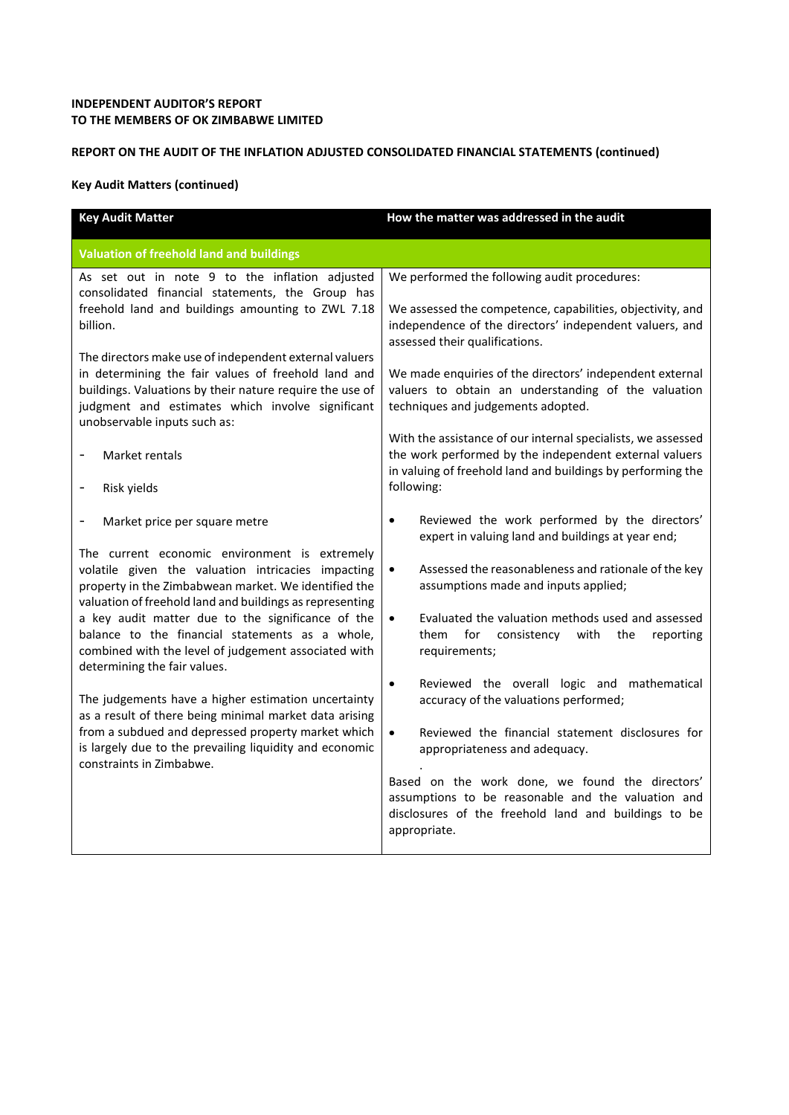# **REPORT ON THE AUDIT OF THE INFLATION ADJUSTED CONSOLIDATED FINANCIAL STATEMENTS (continued)**

# **Key Audit Matters (continued)**

| <b>Key Audit Matter</b>                                                                                                                                                                                                                                                                                                                                                                                                                                                                                                                                                                                                                                                                                                                                                                                                                                                                                                                                                                                                                                                                                                                                                                         | How the matter was addressed in the audit                                                                                                                                                                                                                                                                                                                                                                                                                                                                                                                                                                                                                                                                                                                                                                                                                                                                                                                                                                                                                                                                                                                                                                                                                                                                       |
|-------------------------------------------------------------------------------------------------------------------------------------------------------------------------------------------------------------------------------------------------------------------------------------------------------------------------------------------------------------------------------------------------------------------------------------------------------------------------------------------------------------------------------------------------------------------------------------------------------------------------------------------------------------------------------------------------------------------------------------------------------------------------------------------------------------------------------------------------------------------------------------------------------------------------------------------------------------------------------------------------------------------------------------------------------------------------------------------------------------------------------------------------------------------------------------------------|-----------------------------------------------------------------------------------------------------------------------------------------------------------------------------------------------------------------------------------------------------------------------------------------------------------------------------------------------------------------------------------------------------------------------------------------------------------------------------------------------------------------------------------------------------------------------------------------------------------------------------------------------------------------------------------------------------------------------------------------------------------------------------------------------------------------------------------------------------------------------------------------------------------------------------------------------------------------------------------------------------------------------------------------------------------------------------------------------------------------------------------------------------------------------------------------------------------------------------------------------------------------------------------------------------------------|
| <b>Valuation of freehold land and buildings</b>                                                                                                                                                                                                                                                                                                                                                                                                                                                                                                                                                                                                                                                                                                                                                                                                                                                                                                                                                                                                                                                                                                                                                 |                                                                                                                                                                                                                                                                                                                                                                                                                                                                                                                                                                                                                                                                                                                                                                                                                                                                                                                                                                                                                                                                                                                                                                                                                                                                                                                 |
| As set out in note 9 to the inflation adjusted<br>consolidated financial statements, the Group has<br>freehold land and buildings amounting to ZWL 7.18<br>billion.<br>The directors make use of independent external valuers<br>in determining the fair values of freehold land and<br>buildings. Valuations by their nature require the use of<br>judgment and estimates which involve significant<br>unobservable inputs such as:<br>Market rentals<br>Risk yields<br>Market price per square metre<br>The current economic environment is extremely<br>volatile given the valuation intricacies impacting<br>property in the Zimbabwean market. We identified the<br>valuation of freehold land and buildings as representing<br>a key audit matter due to the significance of the<br>balance to the financial statements as a whole,<br>combined with the level of judgement associated with<br>determining the fair values.<br>The judgements have a higher estimation uncertainty<br>as a result of there being minimal market data arising<br>from a subdued and depressed property market which<br>is largely due to the prevailing liquidity and economic<br>constraints in Zimbabwe. | We performed the following audit procedures:<br>We assessed the competence, capabilities, objectivity, and<br>independence of the directors' independent valuers, and<br>assessed their qualifications.<br>We made enquiries of the directors' independent external<br>valuers to obtain an understanding of the valuation<br>techniques and judgements adopted.<br>With the assistance of our internal specialists, we assessed<br>the work performed by the independent external valuers<br>in valuing of freehold land and buildings by performing the<br>following:<br>Reviewed the work performed by the directors'<br>expert in valuing land and buildings at year end;<br>Assessed the reasonableness and rationale of the key<br>$\bullet$<br>assumptions made and inputs applied;<br>Evaluated the valuation methods used and assessed<br>$\bullet$<br>them<br>for<br>consistency<br>with<br>the<br>reporting<br>requirements;<br>Reviewed the overall logic and mathematical<br>$\bullet$<br>accuracy of the valuations performed;<br>Reviewed the financial statement disclosures for<br>$\bullet$<br>appropriateness and adequacy.<br>Based on the work done, we found the directors'<br>assumptions to be reasonable and the valuation and<br>disclosures of the freehold land and buildings to be |
|                                                                                                                                                                                                                                                                                                                                                                                                                                                                                                                                                                                                                                                                                                                                                                                                                                                                                                                                                                                                                                                                                                                                                                                                 | appropriate.                                                                                                                                                                                                                                                                                                                                                                                                                                                                                                                                                                                                                                                                                                                                                                                                                                                                                                                                                                                                                                                                                                                                                                                                                                                                                                    |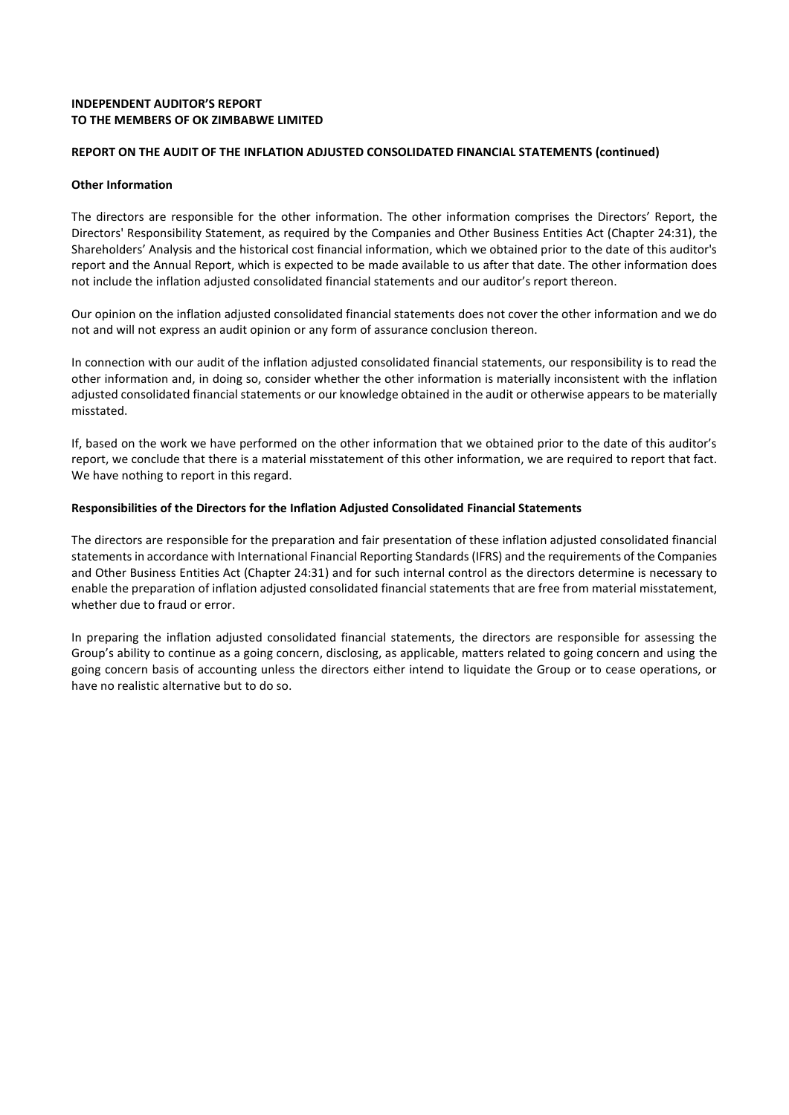# **REPORT ON THE AUDIT OF THE INFLATION ADJUSTED CONSOLIDATED FINANCIAL STATEMENTS (continued)**

# **Other Information**

The directors are responsible for the other information. The other information comprises the Directors' Report, the Directors' Responsibility Statement, as required by the Companies and Other Business Entities Act (Chapter 24:31), the Shareholders' Analysis and the historical cost financial information, which we obtained prior to the date of this auditor's report and the Annual Report, which is expected to be made available to us after that date. The other information does not include the inflation adjusted consolidated financial statements and our auditor's report thereon.

Our opinion on the inflation adjusted consolidated financial statements does not cover the other information and we do not and will not express an audit opinion or any form of assurance conclusion thereon.

In connection with our audit of the inflation adjusted consolidated financial statements, our responsibility is to read the other information and, in doing so, consider whether the other information is materially inconsistent with the inflation adjusted consolidated financial statements or our knowledge obtained in the audit or otherwise appears to be materially misstated.

If, based on the work we have performed on the other information that we obtained prior to the date of this auditor's report, we conclude that there is a material misstatement of this other information, we are required to report that fact. We have nothing to report in this regard.

# **Responsibilities of the Directors for the Inflation Adjusted Consolidated Financial Statements**

The directors are responsible for the preparation and fair presentation of these inflation adjusted consolidated financial statements in accordance with International Financial Reporting Standards (IFRS) and the requirements of the Companies and Other Business Entities Act (Chapter 24:31) and for such internal control as the directors determine is necessary to enable the preparation of inflation adjusted consolidated financial statements that are free from material misstatement, whether due to fraud or error.

In preparing the inflation adjusted consolidated financial statements, the directors are responsible for assessing the Group's ability to continue as a going concern, disclosing, as applicable, matters related to going concern and using the going concern basis of accounting unless the directors either intend to liquidate the Group or to cease operations, or have no realistic alternative but to do so.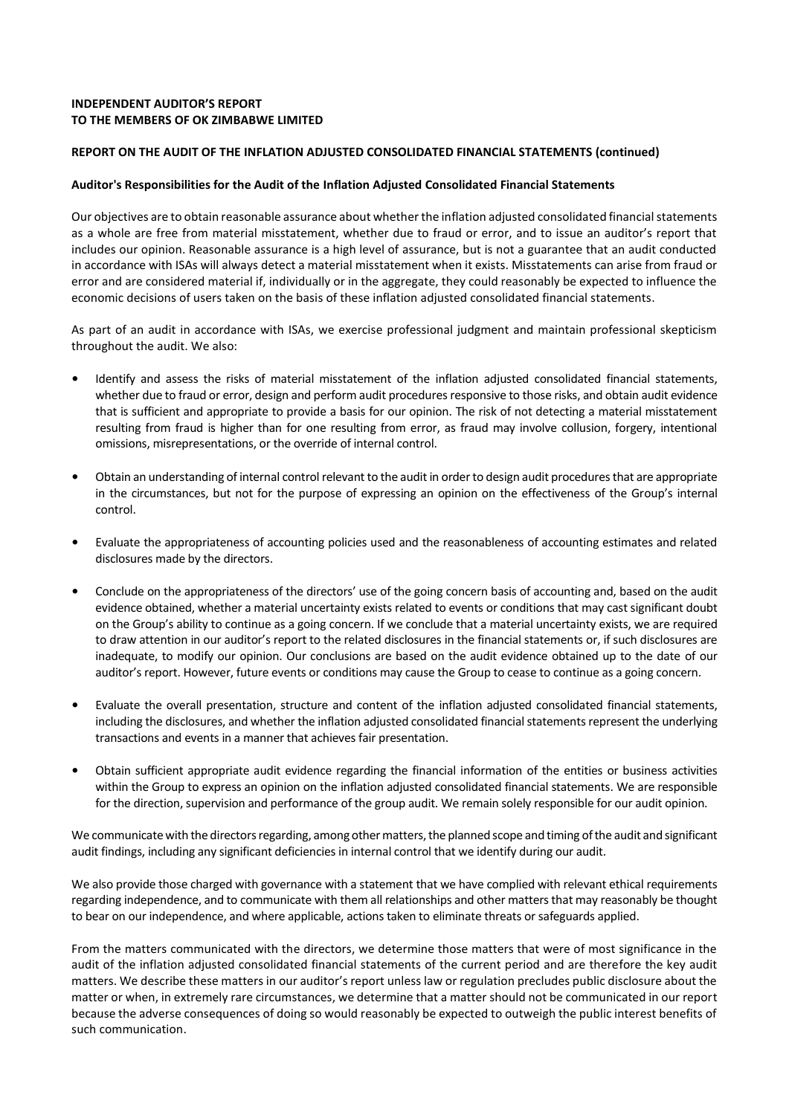# **REPORT ON THE AUDIT OF THE INFLATION ADJUSTED CONSOLIDATED FINANCIAL STATEMENTS (continued)**

# **Auditor's Responsibilities for the Audit of the Inflation Adjusted Consolidated Financial Statements**

Our objectives are to obtain reasonable assurance about whether the inflation adjusted consolidated financial statements as a whole are free from material misstatement, whether due to fraud or error, and to issue an auditor's report that includes our opinion. Reasonable assurance is a high level of assurance, but is not a guarantee that an audit conducted in accordance with ISAs will always detect a material misstatement when it exists. Misstatements can arise from fraud or error and are considered material if, individually or in the aggregate, they could reasonably be expected to influence the economic decisions of users taken on the basis of these inflation adjusted consolidated financial statements.

As part of an audit in accordance with ISAs, we exercise professional judgment and maintain professional skepticism throughout the audit. We also:

- Identify and assess the risks of material misstatement of the inflation adjusted consolidated financial statements, whether due to fraud or error, design and perform audit procedures responsive to those risks, and obtain audit evidence that is sufficient and appropriate to provide a basis for our opinion. The risk of not detecting a material misstatement resulting from fraud is higher than for one resulting from error, as fraud may involve collusion, forgery, intentional omissions, misrepresentations, or the override of internal control.
- Obtain an understanding of internal control relevant to the audit in order to design audit procedures that are appropriate in the circumstances, but not for the purpose of expressing an opinion on the effectiveness of the Group's internal control.
- Evaluate the appropriateness of accounting policies used and the reasonableness of accounting estimates and related disclosures made by the directors.
- Conclude on the appropriateness of the directors' use of the going concern basis of accounting and, based on the audit evidence obtained, whether a material uncertainty exists related to events or conditions that may cast significant doubt on the Group's ability to continue as a going concern. If we conclude that a material uncertainty exists, we are required to draw attention in our auditor's report to the related disclosures in the financial statements or, if such disclosures are inadequate, to modify our opinion. Our conclusions are based on the audit evidence obtained up to the date of our auditor's report. However, future events or conditions may cause the Group to cease to continue as a going concern.
- Evaluate the overall presentation, structure and content of the inflation adjusted consolidated financial statements, including the disclosures, and whether the inflation adjusted consolidated financial statements represent the underlying transactions and events in a manner that achieves fair presentation.
- Obtain sufficient appropriate audit evidence regarding the financial information of the entities or business activities within the Group to express an opinion on the inflation adjusted consolidated financial statements. We are responsible for the direction, supervision and performance of the group audit. We remain solely responsible for our audit opinion.

We communicate with the directors regarding, among other matters, the planned scope and timing of the audit and significant audit findings, including any significant deficiencies in internal control that we identify during our audit.

We also provide those charged with governance with a statement that we have complied with relevant ethical requirements regarding independence, and to communicate with them all relationships and other matters that may reasonably be thought to bear on our independence, and where applicable, actions taken to eliminate threats or safeguards applied.

From the matters communicated with the directors, we determine those matters that were of most significance in the audit of the inflation adjusted consolidated financial statements of the current period and are therefore the key audit matters. We describe these matters in our auditor's report unless law or regulation precludes public disclosure about the matter or when, in extremely rare circumstances, we determine that a matter should not be communicated in our report because the adverse consequences of doing so would reasonably be expected to outweigh the public interest benefits of such communication.